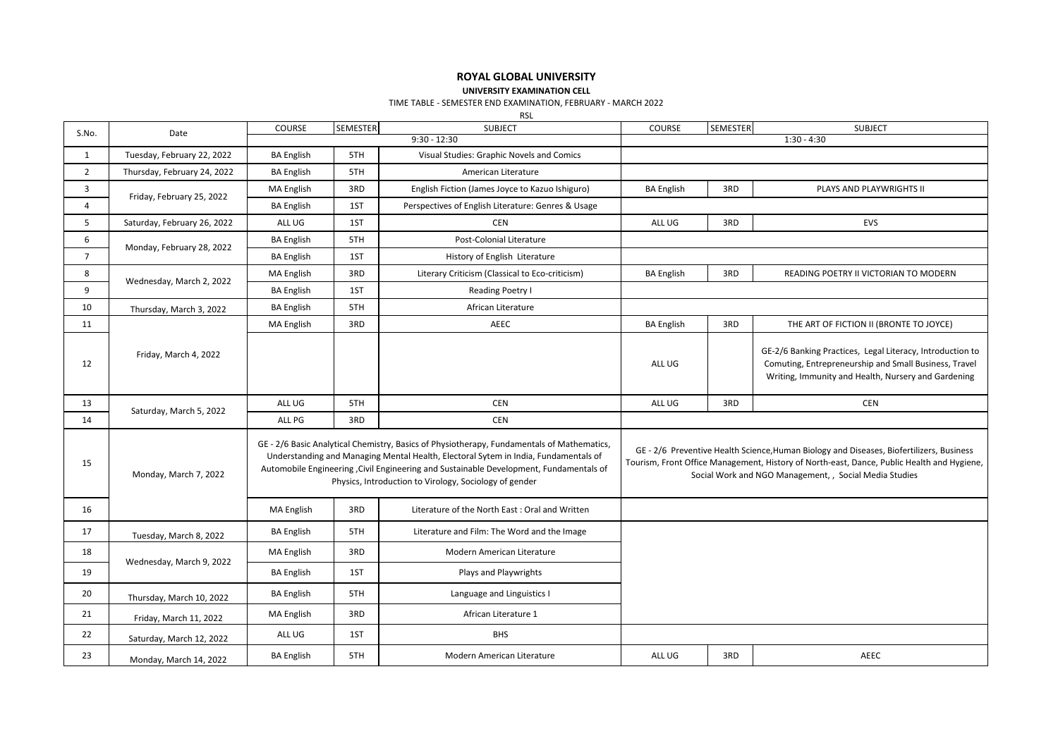## **ROYAL GLOBAL UNIVERSITY**

**UNIVERSITY EXAMINATION CELL**

TIME TABLE - SEMESTER END EXAMINATION, FEBRUARY - MARCH 2022

RSL

| S.No.          | Date                        | COURSE            | SEMESTER                                                                                                                                                                                                                                                                                                                               | <b>SUBJECT</b>                                                                                                                                                                                                                                   | COURSE            | SEMESTER | <b>SUBJECT</b>                                                                                                                                                            |
|----------------|-----------------------------|-------------------|----------------------------------------------------------------------------------------------------------------------------------------------------------------------------------------------------------------------------------------------------------------------------------------------------------------------------------------|--------------------------------------------------------------------------------------------------------------------------------------------------------------------------------------------------------------------------------------------------|-------------------|----------|---------------------------------------------------------------------------------------------------------------------------------------------------------------------------|
|                |                             | $9:30 - 12:30$    |                                                                                                                                                                                                                                                                                                                                        |                                                                                                                                                                                                                                                  |                   |          | $1:30 - 4:30$                                                                                                                                                             |
| $\mathbf{1}$   | Tuesday, February 22, 2022  | <b>BA English</b> | 5TH                                                                                                                                                                                                                                                                                                                                    | Visual Studies: Graphic Novels and Comics                                                                                                                                                                                                        |                   |          |                                                                                                                                                                           |
| $\overline{2}$ | Thursday, February 24, 2022 | <b>BA English</b> | 5TH                                                                                                                                                                                                                                                                                                                                    | American Literature                                                                                                                                                                                                                              |                   |          |                                                                                                                                                                           |
| $\overline{3}$ | Friday, February 25, 2022   | MA English        | 3RD                                                                                                                                                                                                                                                                                                                                    | English Fiction (James Joyce to Kazuo Ishiguro)                                                                                                                                                                                                  | <b>BA English</b> | 3RD      | PLAYS AND PLAYWRIGHTS II                                                                                                                                                  |
| $\overline{4}$ |                             | <b>BA English</b> | 1ST                                                                                                                                                                                                                                                                                                                                    | Perspectives of English Literature: Genres & Usage                                                                                                                                                                                               |                   |          |                                                                                                                                                                           |
| 5              | Saturday, February 26, 2022 | ALL UG            | 1ST                                                                                                                                                                                                                                                                                                                                    | <b>CEN</b>                                                                                                                                                                                                                                       | ALL UG            | 3RD      | EVS                                                                                                                                                                       |
| 6              | Monday, February 28, 2022   | <b>BA English</b> | 5TH                                                                                                                                                                                                                                                                                                                                    | Post-Colonial Literature                                                                                                                                                                                                                         |                   |          |                                                                                                                                                                           |
| $\overline{7}$ |                             | <b>BA English</b> | 1ST                                                                                                                                                                                                                                                                                                                                    | History of English Literature                                                                                                                                                                                                                    |                   |          |                                                                                                                                                                           |
| 8              | Wednesday, March 2, 2022    | MA English        | 3RD                                                                                                                                                                                                                                                                                                                                    | Literary Criticism (Classical to Eco-criticism)                                                                                                                                                                                                  | <b>BA English</b> | 3RD      | READING POETRY II VICTORIAN TO MODERN                                                                                                                                     |
| 9              |                             | <b>BA English</b> | 1ST                                                                                                                                                                                                                                                                                                                                    | Reading Poetry I                                                                                                                                                                                                                                 |                   |          |                                                                                                                                                                           |
| 10             | Thursday, March 3, 2022     | <b>BA English</b> | 5TH                                                                                                                                                                                                                                                                                                                                    | African Literature                                                                                                                                                                                                                               |                   |          |                                                                                                                                                                           |
| 11             |                             | MA English        | 3RD                                                                                                                                                                                                                                                                                                                                    | <b>AEEC</b>                                                                                                                                                                                                                                      | <b>BA English</b> | 3RD      | THE ART OF FICTION II (BRONTE TO JOYCE)                                                                                                                                   |
| 12             | Friday, March 4, 2022       |                   |                                                                                                                                                                                                                                                                                                                                        |                                                                                                                                                                                                                                                  | ALL UG            |          | GE-2/6 Banking Practices, Legal Literacy, Introduction to<br>Comuting, Entrepreneurship and Small Business, Travel<br>Writing, Immunity and Health, Nursery and Gardening |
| 13             | Saturday, March 5, 2022     | ALL UG            | 5TH                                                                                                                                                                                                                                                                                                                                    | <b>CEN</b>                                                                                                                                                                                                                                       | ALL UG            | 3RD      | <b>CEN</b>                                                                                                                                                                |
| 14             |                             | ALL PG            | 3RD                                                                                                                                                                                                                                                                                                                                    | <b>CEN</b>                                                                                                                                                                                                                                       |                   |          |                                                                                                                                                                           |
| 15             | Monday, March 7, 2022       |                   | GE - 2/6 Basic Analytical Chemistry, Basics of Physiotherapy, Fundamentals of Mathematics,<br>Understanding and Managing Mental Health, Electoral Sytem in India, Fundamentals of<br>Automobile Engineering , Civil Engineering and Sustainable Development, Fundamentals of<br>Physics, Introduction to Virology, Sociology of gender | GE - 2/6 Preventive Health Science, Human Biology and Diseases, Biofertilizers, Business<br>Tourism, Front Office Management, History of North-east, Dance, Public Health and Hygiene,<br>Social Work and NGO Management, , Social Media Studies |                   |          |                                                                                                                                                                           |
| 16             |                             | MA English        | 3RD                                                                                                                                                                                                                                                                                                                                    | Literature of the North East: Oral and Written                                                                                                                                                                                                   |                   |          |                                                                                                                                                                           |
| 17             | Tuesday, March 8, 2022      | <b>BA English</b> | 5TH                                                                                                                                                                                                                                                                                                                                    | Literature and Film: The Word and the Image                                                                                                                                                                                                      |                   |          |                                                                                                                                                                           |
| 18             | Wednesday, March 9, 2022    | MA English        | 3RD                                                                                                                                                                                                                                                                                                                                    | Modern American Literature                                                                                                                                                                                                                       |                   |          |                                                                                                                                                                           |
| 19             |                             | <b>BA English</b> | 1ST                                                                                                                                                                                                                                                                                                                                    | Plays and Playwrights                                                                                                                                                                                                                            |                   |          |                                                                                                                                                                           |
| 20             | Thursday, March 10, 2022    | <b>BA English</b> | 5TH                                                                                                                                                                                                                                                                                                                                    | Language and Linguistics I                                                                                                                                                                                                                       |                   |          |                                                                                                                                                                           |
| 21             | Friday, March 11, 2022      | MA English        | 3RD                                                                                                                                                                                                                                                                                                                                    | African Literature 1                                                                                                                                                                                                                             |                   |          |                                                                                                                                                                           |
| 22             | Saturday, March 12, 2022    | ALL UG            | 1ST                                                                                                                                                                                                                                                                                                                                    | <b>BHS</b>                                                                                                                                                                                                                                       |                   |          |                                                                                                                                                                           |
| 23             |                             |                   |                                                                                                                                                                                                                                                                                                                                        |                                                                                                                                                                                                                                                  |                   |          |                                                                                                                                                                           |